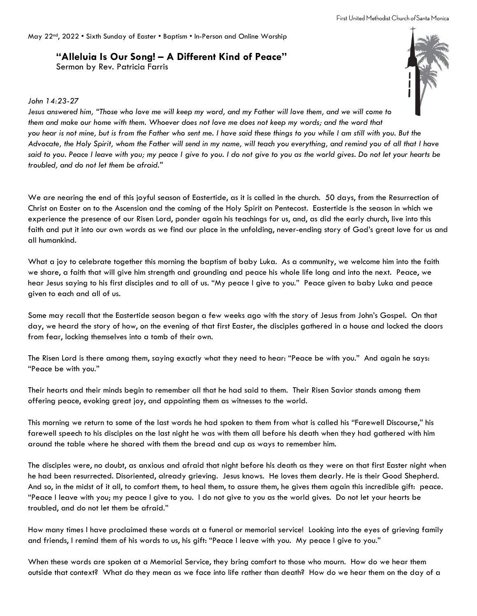May 22<sup>nd</sup>, 2022 • Sixth Sunday of Easter • Baptism • In-Person and Online Worship

## **"Alleluia Is Our Song! – A Different Kind of Peace"**

Sermon by Rev. Patricia Farris



## *John 14:23-27*

*Jesus answered him, "Those who love me will keep my word, and my Father will love them, and we will come to them and make our home with them. Whoever does not love me does not keep my words; and the word that you hear is not mine, but is from the Father who sent me. I have said these things to you while I am still with you. But the Advocate, the Holy Spirit, whom the Father will send in my name, will teach you everything, and remind you of all that I have said to you. Peace I leave with you; my peace I give to you. I do not give to you as the world gives. Do not let your hearts be troubled, and do not let them be afraid."*

We are nearing the end of this joyful season of Eastertide, as it is called in the church. 50 days, from the Resurrection of Christ on Easter on to the Ascension and the coming of the Holy Spirit on Pentecost. Eastertide is the season in which we experience the presence of our Risen Lord, ponder again his teachings for us, and, as did the early church, live into this faith and put it into our own words as we find our place in the unfolding, never-ending story of God's great love for us and all humankind.

What a joy to celebrate together this morning the baptism of baby Luka. As a community, we welcome him into the faith we share, a faith that will give him strength and grounding and peace his whole life long and into the next. Peace, we hear Jesus saying to his first disciples and to all of us. "My peace I give to you." Peace given to baby Luka and peace given to each and all of us.

Some may recall that the Eastertide season began a few weeks ago with the story of Jesus from John's Gospel. On that day, we heard the story of how, on the evening of that first Easter, the disciples gathered in a house and locked the doors from fear, locking themselves into a tomb of their own.

The Risen Lord is there among them, saying exactly what they need to hear: "Peace be with you." And again he says: "Peace be with you."

Their hearts and their minds begin to remember all that he had said to them. Their Risen Savior stands among them offering peace, evoking great joy, and appointing them as witnesses to the world.

This morning we return to some of the last words he had spoken to them from what is called his "Farewell Discourse," his farewell speech to his disciples on the last night he was with them all before his death when they had gathered with him around the table where he shared with them the bread and cup as ways to remember him.

The disciples were, no doubt, as anxious and afraid that night before his death as they were on that first Easter night when he had been resurrected. Disoriented, already grieving. Jesus knows. He loves them dearly. He is their Good Shepherd. And so, in the midst of it all, to comfort them, to heal them, to assure them, he gives them again this incredible gift: peace. "Peace I leave with you; my peace I give to you. I do not give to you as the world gives. Do not let your hearts be troubled, and do not let them be afraid."

How many times I have proclaimed these words at a funeral or memorial service! Looking into the eyes of grieving family and friends, I remind them of his words to us, his gift: "Peace I leave with you. My peace I give to you."

When these words are spoken at a Memorial Service, they bring comfort to those who mourn. How do we hear them outside that context? What do they mean as we face into life rather than death? How do we hear them on the day of a